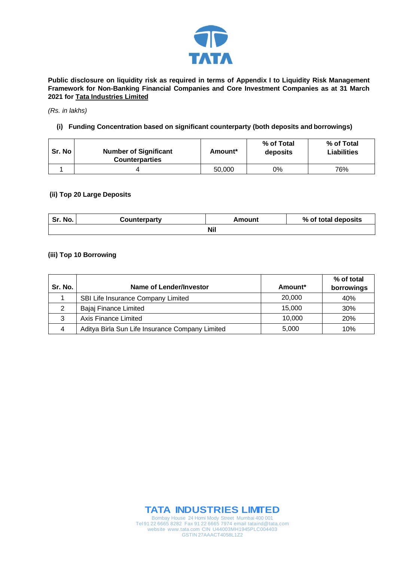

**Public disclosure on liquidity risk as required in terms of Appendix I to Liquidity Risk Management Framework for Non-Banking Financial Companies and Core Investment Companies as at 31 March 2021 for Tata Industries Limited**

#### *(Rs. in lakhs)*

### **(i) Funding Concentration based on significant counterparty (both deposits and borrowings)**

| Sr. No | <b>Number of Significant</b><br><b>Counterparties</b> | Amount* | % of Total<br>deposits | % of Total<br><b>Liabilities</b> |
|--------|-------------------------------------------------------|---------|------------------------|----------------------------------|
|        |                                                       | 50,000  | 0%                     | 76%                              |

#### **(ii) Top 20 Large Deposits**

| Sr. No.    | Counterparty | Amount | % of total deposits |  |
|------------|--------------|--------|---------------------|--|
| <b>Nil</b> |              |        |                     |  |

### **(iii) Top 10 Borrowing**

| Sr. No. | Name of Lender/Investor                         | Amount* | % of total<br>borrowings |
|---------|-------------------------------------------------|---------|--------------------------|
|         | SBI Life Insurance Company Limited              | 20,000  | 40%                      |
| 2       | Bajaj Finance Limited                           | 15,000  | 30%                      |
| 3       | Axis Finance Limited                            | 10.000  | <b>20%</b>               |
| 4       | Aditya Birla Sun Life Insurance Company Limited | 5,000   | 10%                      |



Bombay House 24 Homi Mody Street Mumbai 400 001 Tel 91 22 6665 8282 Fax 91 22 6665 7974 email tataind@tata.com website www.tata.com CIN U44003MH1945PLC004403 GSTIN 27AAACT4058L1Z2